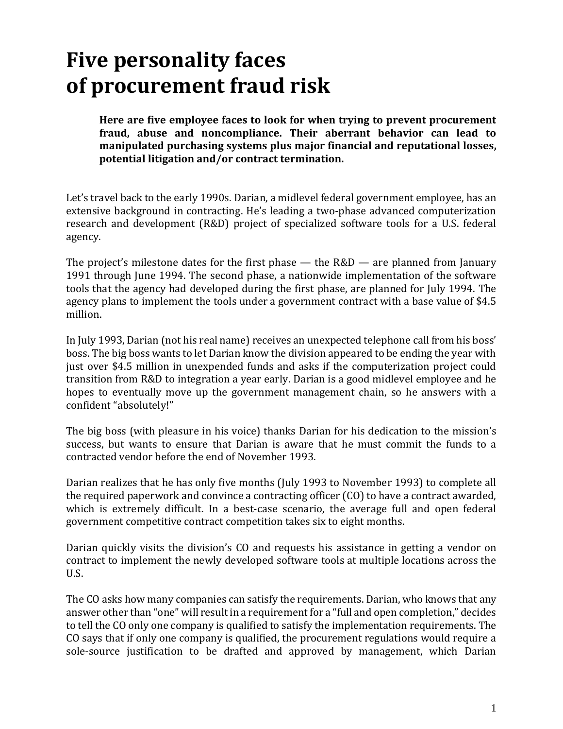# **Five personality faces of procurement fraud risk**

**Here are five employee faces to look for when trying to prevent procurement fraud, abuse and noncompliance. Their aberrant behavior can lead to manipulated purchasing systems plus major financial and reputational losses, potential litigation and/or contract termination.**

Let's travel back to the early 1990s. Darian, a midlevel federal government employee, has an extensive background in contracting. He's leading a two-phase advanced computerization research and development (R&D) project of specialized software tools for a U.S. federal agency.

The project's milestone dates for the first phase  $-$  the R&D  $-$  are planned from January 1991 through June 1994. The second phase, a nationwide implementation of the software tools that the agency had developed during the first phase, are planned for July 1994. The agency plans to implement the tools under a government contract with a base value of \$4.5 million.

In July 1993, Darian (not his real name) receives an unexpected telephone call from his boss' boss. The big boss wants to let Darian know the division appeared to be ending the year with just over \$4.5 million in unexpended funds and asks if the computerization project could transition from R&D to integration a year early. Darian is a good midlevel employee and he hopes to eventually move up the government management chain, so he answers with a confident "absolutely!"

The big boss (with pleasure in his voice) thanks Darian for his dedication to the mission's success, but wants to ensure that Darian is aware that he must commit the funds to a contracted vendor before the end of November 1993.

Darian realizes that he has only five months (July 1993 to November 1993) to complete all the required paperwork and convince a contracting officer (CO) to have a contract awarded, which is extremely difficult. In a best-case scenario, the average full and open federal government competitive contract competition takes six to eight months.

Darian quickly visits the division's CO and requests his assistance in getting a vendor on contract to implement the newly developed software tools at multiple locations across the U.S.

The CO asks how many companies can satisfy the requirements. Darian, who knows that any answer other than "one" will result in a requirement for a "full and open completion," decides to tell the CO only one company is qualified to satisfy the implementation requirements. The CO says that if only one company is qualified, the procurement regulations would require a sole-source justification to be drafted and approved by management, which Darian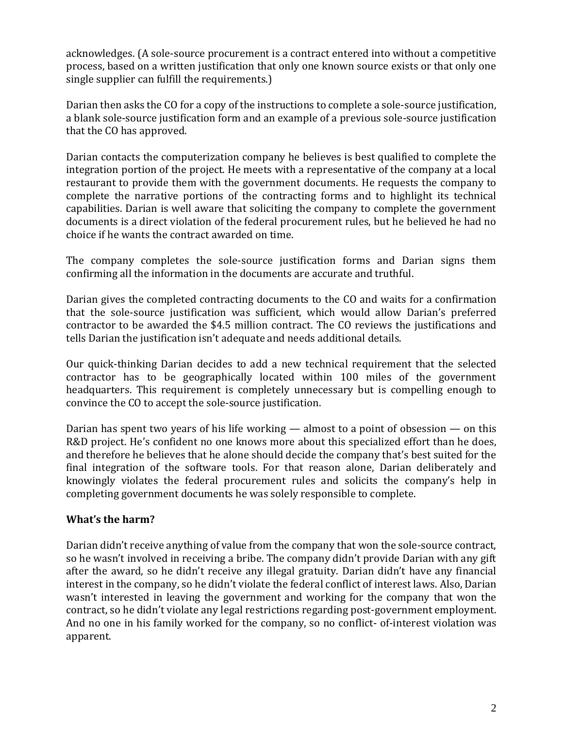acknowledges. (A sole-source procurement is a contract entered into without a competitive process, based on a written justification that only one known source exists or that only one single supplier can fulfill the requirements.)

Darian then asks the CO for a copy of the instructions to complete a sole-source justification, a blank sole-source justification form and an example of a previous sole-source justification that the CO has approved.

Darian contacts the computerization company he believes is best qualified to complete the integration portion of the project. He meets with a representative of the company at a local restaurant to provide them with the government documents. He requests the company to complete the narrative portions of the contracting forms and to highlight its technical capabilities. Darian is well aware that soliciting the company to complete the government documents is a direct violation of the federal procurement rules, but he believed he had no choice if he wants the contract awarded on time.

The company completes the sole-source justification forms and Darian signs them confirming all the information in the documents are accurate and truthful.

Darian gives the completed contracting documents to the CO and waits for a confirmation that the sole-source justification was sufficient, which would allow Darian's preferred contractor to be awarded the \$4.5 million contract. The CO reviews the justifications and tells Darian the justification isn't adequate and needs additional details.

Our quick-thinking Darian decides to add a new technical requirement that the selected contractor has to be geographically located within 100 miles of the government headquarters. This requirement is completely unnecessary but is compelling enough to convince the CO to accept the sole-source justification.

Darian has spent two years of his life working  $-$  almost to a point of obsession  $-$  on this R&D project. He's confident no one knows more about this specialized effort than he does, and therefore he believes that he alone should decide the company that's best suited for the final integration of the software tools. For that reason alone, Darian deliberately and knowingly violates the federal procurement rules and solicits the company's help in completing government documents he was solely responsible to complete.

## **What's the harm?**

Darian didn't receive anything of value from the company that won the sole-source contract, so he wasn't involved in receiving a bribe. The company didn't provide Darian with any gift after the award, so he didn't receive any illegal gratuity. Darian didn't have any financial interest in the company, so he didn't violate the federal conflict of interest laws. Also, Darian wasn't interested in leaving the government and working for the company that won the contract, so he didn't violate any legal restrictions regarding post-government employment. And no one in his family worked for the company, so no conflict- of-interest violation was apparent.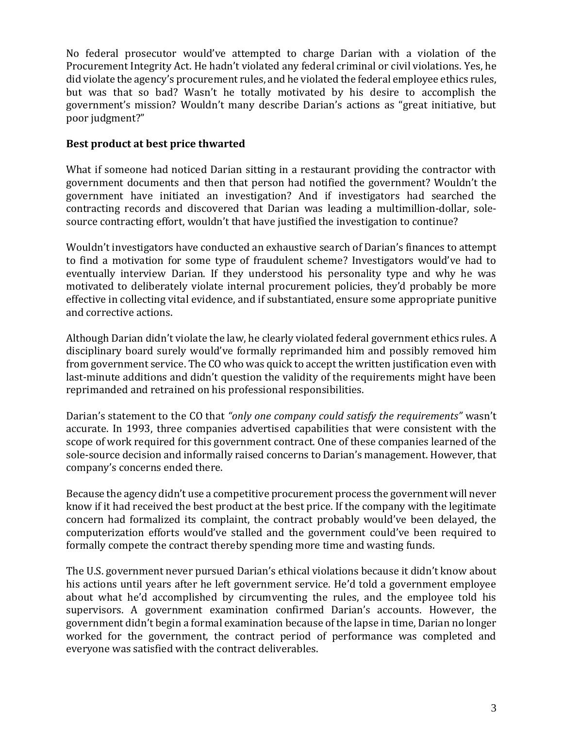No federal prosecutor would've attempted to charge Darian with a violation of the Procurement Integrity Act. He hadn't violated any federal criminal or civil violations. Yes, he did violate the agency's procurement rules, and he violated the federal employee ethics rules, but was that so bad? Wasn't he totally motivated by his desire to accomplish the government's mission? Wouldn't many describe Darian's actions as "great initiative, but poor judgment?"

#### **Best product at best price thwarted**

What if someone had noticed Darian sitting in a restaurant providing the contractor with government documents and then that person had notified the government? Wouldn't the government have initiated an investigation? And if investigators had searched the contracting records and discovered that Darian was leading a multimillion-dollar, solesource contracting effort, wouldn't that have justified the investigation to continue?

Wouldn't investigators have conducted an exhaustive search of Darian's finances to attempt to find a motivation for some type of fraudulent scheme? Investigators would've had to eventually interview Darian. If they understood his personality type and why he was motivated to deliberately violate internal procurement policies, they'd probably be more effective in collecting vital evidence, and if substantiated, ensure some appropriate punitive and corrective actions.

Although Darian didn't violate the law, he clearly violated federal government ethics rules. A disciplinary board surely would've formally reprimanded him and possibly removed him from government service. The CO who was quick to accept the written justification even with last-minute additions and didn't question the validity of the requirements might have been reprimanded and retrained on his professional responsibilities.

Darian's statement to the CO that *"only one company could satisfy the requirements"* wasn't accurate. In 1993, three companies advertised capabilities that were consistent with the scope of work required for this government contract. One of these companies learned of the sole-source decision and informally raised concerns to Darian's management. However, that company's concerns ended there.

Because the agency didn't use a competitive procurement process the government will never know if it had received the best product at the best price. If the company with the legitimate concern had formalized its complaint, the contract probably would've been delayed, the computerization efforts would've stalled and the government could've been required to formally compete the contract thereby spending more time and wasting funds.

The U.S. government never pursued Darian's ethical violations because it didn't know about his actions until years after he left government service. He'd told a government employee about what he'd accomplished by circumventing the rules, and the employee told his supervisors. A government examination confirmed Darian's accounts. However, the government didn't begin a formal examination because of the lapse in time, Darian no longer worked for the government, the contract period of performance was completed and everyone was satisfied with the contract deliverables.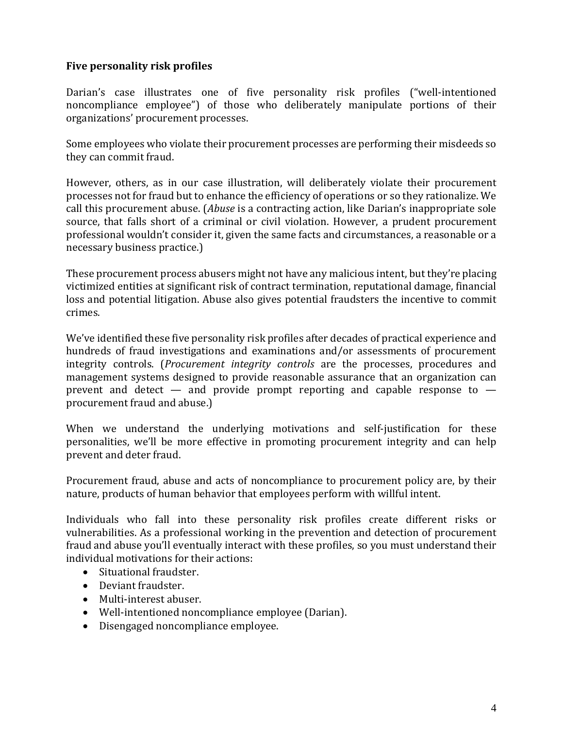#### **Five personality risk profiles**

Darian's case illustrates one of five personality risk profiles ("well-intentioned noncompliance employee") of those who deliberately manipulate portions of their organizations' procurement processes.

Some employees who violate their procurement processes are performing their misdeeds so they can commit fraud.

However, others, as in our case illustration, will deliberately violate their procurement processes not for fraud but to enhance the efficiency of operations or so they rationalize. We call this procurement abuse. (*Abuse* is a contracting action, like Darian's inappropriate sole source, that falls short of a criminal or civil violation. However, a prudent procurement professional wouldn't consider it, given the same facts and circumstances, a reasonable or a necessary business practice.)

These procurement process abusers might not have any malicious intent, but they're placing victimized entities at significant risk of contract termination, reputational damage, financial loss and potential litigation. Abuse also gives potential fraudsters the incentive to commit crimes.

We've identified these five personality risk profiles after decades of practical experience and hundreds of fraud investigations and examinations and/or assessments of procurement integrity controls. (*Procurement integrity controls* are the processes, procedures and management systems designed to provide reasonable assurance that an organization can prevent and detect  $-$  and provide prompt reporting and capable response to  $$ procurement fraud and abuse.)

When we understand the underlying motivations and self-justification for these personalities, we'll be more effective in promoting procurement integrity and can help prevent and deter fraud.

Procurement fraud, abuse and acts of noncompliance to procurement policy are, by their nature, products of human behavior that employees perform with willful intent.

Individuals who fall into these personality risk profiles create different risks or vulnerabilities. As a professional working in the prevention and detection of procurement fraud and abuse you'll eventually interact with these profiles, so you must understand their individual motivations for their actions:

- Situational fraudster.
- Deviant fraudster.
- Multi-interest abuser.
- Well-intentioned noncompliance employee (Darian).
- Disengaged noncompliance employee.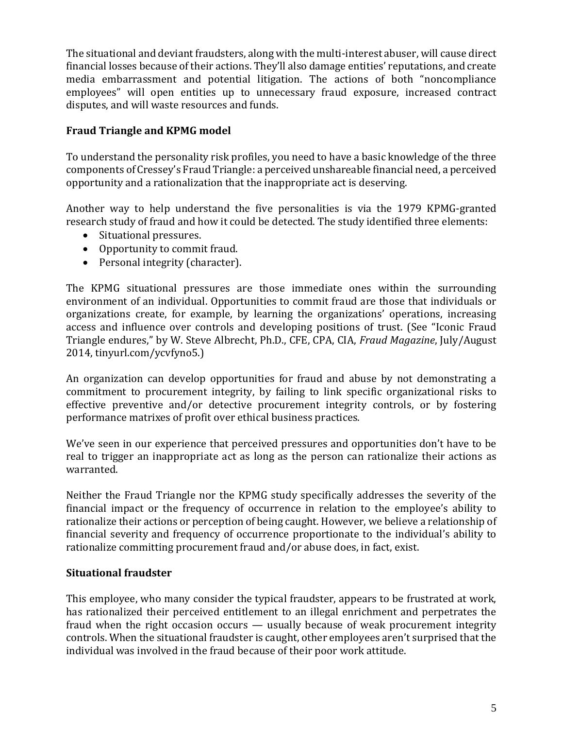The situational and deviant fraudsters, along with the multi-interest abuser, will cause direct financial losses because of their actions. They'll also damage entities' reputations, and create media embarrassment and potential litigation. The actions of both "noncompliance employees" will open entities up to unnecessary fraud exposure, increased contract disputes, and will waste resources and funds.

## **Fraud Triangle and KPMG model**

To understand the personality risk profiles, you need to have a basic knowledge of the three components of Cressey's Fraud Triangle: a perceived unshareable financial need, a perceived opportunity and a rationalization that the inappropriate act is deserving.

Another way to help understand the five personalities is via the 1979 KPMG-granted research study of fraud and how it could be detected. The study identified three elements:

- Situational pressures.
- Opportunity to commit fraud.
- Personal integrity (character).

The KPMG situational pressures are those immediate ones within the surrounding environment of an individual. Opportunities to commit fraud are those that individuals or organizations create, for example, by learning the organizations' operations, increasing access and influence over controls and developing positions of trust. (See "Iconic Fraud Triangle endures," by W. Steve Albrecht, Ph.D., CFE, CPA, CIA, *Fraud Magazine*, July/August 2014, tinyurl.com/ycvfyno5.)

An organization can develop opportunities for fraud and abuse by not demonstrating a commitment to procurement integrity, by failing to link specific organizational risks to effective preventive and/or detective procurement integrity controls, or by fostering performance matrixes of profit over ethical business practices.

We've seen in our experience that perceived pressures and opportunities don't have to be real to trigger an inappropriate act as long as the person can rationalize their actions as warranted.

Neither the Fraud Triangle nor the KPMG study specifically addresses the severity of the financial impact or the frequency of occurrence in relation to the employee's ability to rationalize their actions or perception of being caught. However, we believe a relationship of financial severity and frequency of occurrence proportionate to the individual's ability to rationalize committing procurement fraud and/or abuse does, in fact, exist.

## **Situational fraudster**

This employee, who many consider the typical fraudster, appears to be frustrated at work, has rationalized their perceived entitlement to an illegal enrichment and perpetrates the fraud when the right occasion occurs — usually because of weak procurement integrity controls. When the situational fraudster is caught, other employees aren't surprised that the individual was involved in the fraud because of their poor work attitude.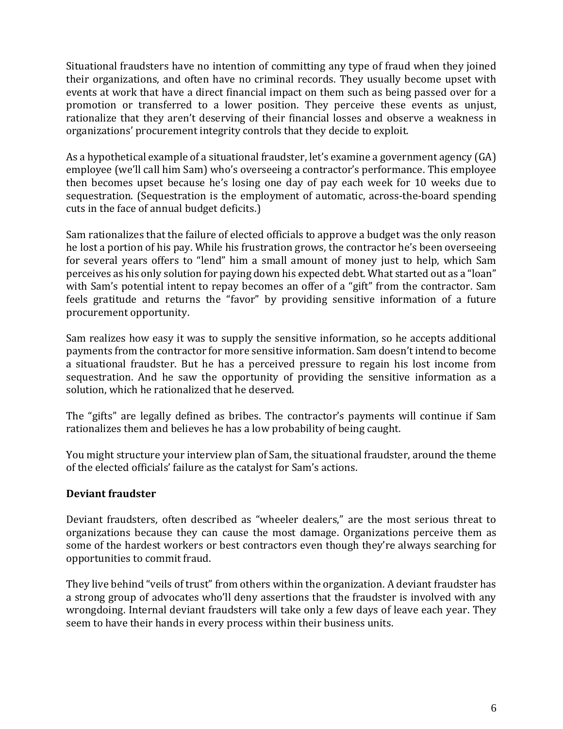Situational fraudsters have no intention of committing any type of fraud when they joined their organizations, and often have no criminal records. They usually become upset with events at work that have a direct financial impact on them such as being passed over for a promotion or transferred to a lower position. They perceive these events as unjust, rationalize that they aren't deserving of their financial losses and observe a weakness in organizations' procurement integrity controls that they decide to exploit.

As a hypothetical example of a situational fraudster, let's examine a government agency (GA) employee (we'll call him Sam) who's overseeing a contractor's performance. This employee then becomes upset because he's losing one day of pay each week for 10 weeks due to sequestration. (Sequestration is the employment of automatic, across-the-board spending cuts in the face of annual budget deficits.)

Sam rationalizes that the failure of elected officials to approve a budget was the only reason he lost a portion of his pay. While his frustration grows, the contractor he's been overseeing for several years offers to "lend" him a small amount of money just to help, which Sam perceives as his only solution for paying down his expected debt. What started out as a "loan" with Sam's potential intent to repay becomes an offer of a "gift" from the contractor. Sam feels gratitude and returns the "favor" by providing sensitive information of a future procurement opportunity.

Sam realizes how easy it was to supply the sensitive information, so he accepts additional payments from the contractor for more sensitive information. Sam doesn't intend to become a situational fraudster. But he has a perceived pressure to regain his lost income from sequestration. And he saw the opportunity of providing the sensitive information as a solution, which he rationalized that he deserved.

The "gifts" are legally defined as bribes. The contractor's payments will continue if Sam rationalizes them and believes he has a low probability of being caught.

You might structure your interview plan of Sam, the situational fraudster, around the theme of the elected officials' failure as the catalyst for Sam's actions.

## **Deviant fraudster**

Deviant fraudsters, often described as "wheeler dealers," are the most serious threat to organizations because they can cause the most damage. Organizations perceive them as some of the hardest workers or best contractors even though they're always searching for opportunities to commit fraud.

They live behind "veils of trust" from others within the organization. A deviant fraudster has a strong group of advocates who'll deny assertions that the fraudster is involved with any wrongdoing. Internal deviant fraudsters will take only a few days of leave each year. They seem to have their hands in every process within their business units.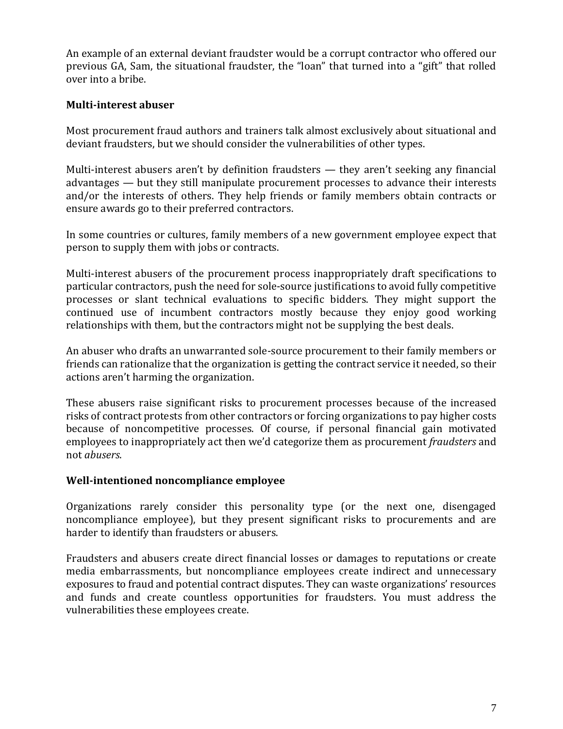An example of an external deviant fraudster would be a corrupt contractor who offered our previous GA, Sam, the situational fraudster, the "loan" that turned into a "gift" that rolled over into a bribe.

#### **Multi-interest abuser**

Most procurement fraud authors and trainers talk almost exclusively about situational and deviant fraudsters, but we should consider the vulnerabilities of other types.

Multi-interest abusers aren't by definition fraudsters — they aren't seeking any financial advantages — but they still manipulate procurement processes to advance their interests and/or the interests of others. They help friends or family members obtain contracts or ensure awards go to their preferred contractors.

In some countries or cultures, family members of a new government employee expect that person to supply them with jobs or contracts.

Multi-interest abusers of the procurement process inappropriately draft specifications to particular contractors, push the need for sole-source justifications to avoid fully competitive processes or slant technical evaluations to specific bidders. They might support the continued use of incumbent contractors mostly because they enjoy good working relationships with them, but the contractors might not be supplying the best deals.

An abuser who drafts an unwarranted sole-source procurement to their family members or friends can rationalize that the organization is getting the contract service it needed, so their actions aren't harming the organization.

These abusers raise significant risks to procurement processes because of the increased risks of contract protests from other contractors or forcing organizations to pay higher costs because of noncompetitive processes. Of course, if personal financial gain motivated employees to inappropriately act then we'd categorize them as procurement *fraudsters* and not *abusers*.

#### **Well-intentioned noncompliance employee**

Organizations rarely consider this personality type (or the next one, disengaged noncompliance employee), but they present significant risks to procurements and are harder to identify than fraudsters or abusers.

Fraudsters and abusers create direct financial losses or damages to reputations or create media embarrassments, but noncompliance employees create indirect and unnecessary exposures to fraud and potential contract disputes. They can waste organizations' resources and funds and create countless opportunities for fraudsters. You must address the vulnerabilities these employees create.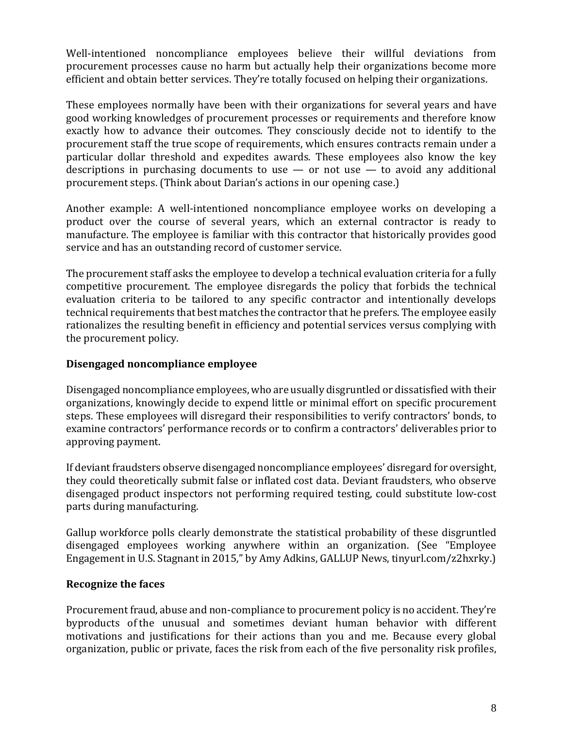Well-intentioned noncompliance employees believe their willful deviations from procurement processes cause no harm but actually help their organizations become more efficient and obtain better services. They're totally focused on helping their organizations.

These employees normally have been with their organizations for several years and have good working knowledges of procurement processes or requirements and therefore know exactly how to advance their outcomes. They consciously decide not to identify to the procurement staff the true scope of requirements, which ensures contracts remain under a particular dollar threshold and expedites awards. These employees also know the key descriptions in purchasing documents to use  $-$  or not use  $-$  to avoid any additional procurement steps. (Think about Darian's actions in our opening case.)

Another example: A well-intentioned noncompliance employee works on developing a product over the course of several years, which an external contractor is ready to manufacture. The employee is familiar with this contractor that historically provides good service and has an outstanding record of customer service.

The procurement staff asks the employee to develop a technical evaluation criteria for a fully competitive procurement. The employee disregards the policy that forbids the technical evaluation criteria to be tailored to any specific contractor and intentionally develops technical requirements that best matches the contractor that he prefers. The employee easily rationalizes the resulting benefit in efficiency and potential services versus complying with the procurement policy.

#### **Disengaged noncompliance employee**

Disengaged noncompliance employees, who are usually disgruntled or dissatisfied with their organizations, knowingly decide to expend little or minimal effort on specific procurement steps. These employees will disregard their responsibilities to verify contractors' bonds, to examine contractors' performance records or to confirm a contractors' deliverables prior to approving payment.

If deviant fraudsters observe disengaged noncompliance employees' disregard for oversight, they could theoretically submit false or inflated cost data. Deviant fraudsters, who observe disengaged product inspectors not performing required testing, could substitute low-cost parts during manufacturing.

Gallup workforce polls clearly demonstrate the statistical probability of these disgruntled disengaged employees working anywhere within an organization. (See "Employee Engagement in U.S. Stagnant in 2015," by Amy Adkins, GALLUP News, tinyurl.com/z2hxrky.)

#### **Recognize the faces**

Procurement fraud, abuse and non-compliance to procurement policy is no accident. They're byproducts of the unusual and sometimes deviant human behavior with different motivations and justifications for their actions than you and me. Because every global organization, public or private, faces the risk from each of the five personality risk profiles,